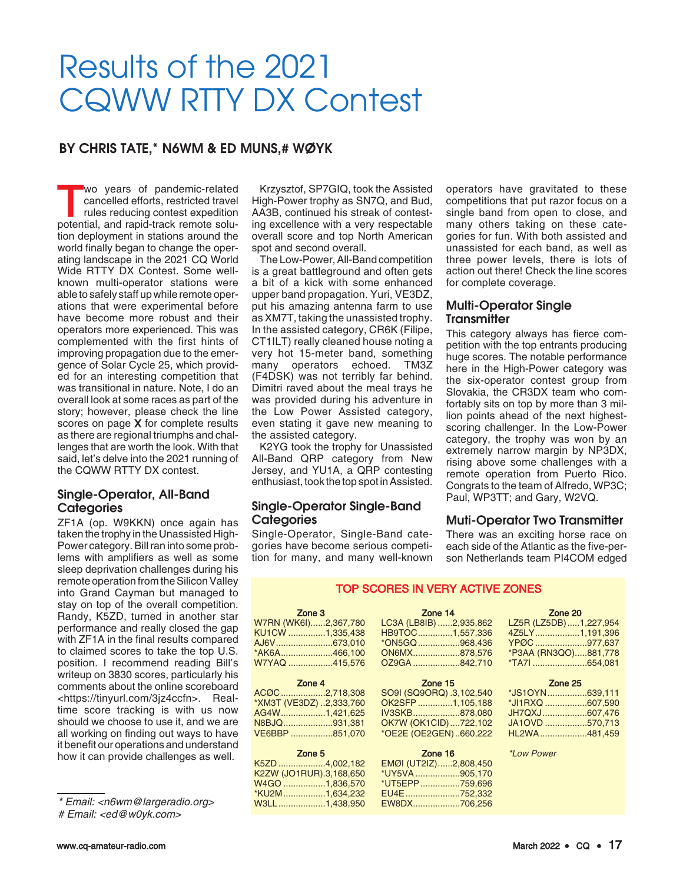# Results of the 2021 CQWW RTTY DX Contest

# BY CHRIS TATE,\* N6WM & ED MUNS,# WØYK

wo years of pandemic-related<br>
cancelled efforts, restricted travel<br>
rules reducing contest expedition<br>
notential and ranid-track remote solucancelled efforts, restricted travel potential, and rapid-track remote solution deployment in stations around the world finally began to change the operating landscape in the 2021 CQ World Wide RTTY DX Contest. Some wellknown multi-operator stations were able to safely staff up while remote operations that were experimental before have become more robust and their operators more experienced. This was complemented with the first hints of improving propagation due to the emergence of Solar Cycle 25, which provided for an interesting competition that was transitional in nature. Note, I do an overall look at some races as part of the story; however, please check the line scores on page **X** for complete results as there are regional triumphs and challenges that are worth the look. With that said, let's delve into the 2021 running of the CQWW RTTY DX contest.

# Single-Operator, All-Band **Categories**

ZF1A (op. W9KKN) once again has taken the trophy in the Unassisted High-Power category. Bill ran into some problems with amplifiers as well as some sleep deprivation challenges during his remote operation from the Silicon Valley into Grand Cayman but managed to stay on top of the overall competition. Randy, K5ZD, turned in another star performance and really closed the gap with ZF1A in the final results compared to claimed scores to take the top U.S. position. I recommend reading Bill's writeup on 3830 scores, particularly his comments about the online scoreboard <https://tinyurl.com/3jz4ccfn>. Realtime score tracking is with us now should we choose to use it, and we are all working on finding out ways to have it benefit our operations and understand how it can provide challenges as well.

# Email: <ed@w0yk.com>

Krzysztof, SP7GIQ, took the Assisted High-Power trophy as SN7Q, and Bud, AA3B, continued his streak of contesting excellence with a very respectable overall score and top North American spot and second overall.

The Low-Power, All-Band competition is a great battleground and often gets a bit of a kick with some enhanced upper band propagation. Yuri, VE3DZ, put his amazing antenna farm to use as XM7T, taking the unassisted trophy. In the assisted category, CR6K (Filipe, CT1ILT) really cleaned house noting a very hot 15-meter band, something many operators echoed. TM3Z (F4DSK) was not terribly far behind. Dimitri raved about the meal trays he was provided during his adventure in the Low Power Assisted category, even stating it gave new meaning to the assisted category.

K2YG took the trophy for Unassisted All-Band QRP category from New Jersey, and YU1A, a QRP contesting enthusiast, took the top spot in Assisted.

# Single-Operator Single-Band **Categories**

Single-Operator, Single-Band categories have become serious competition for many, and many well-known

W3LL...................1,438,950

operators have gravitated to these competitions that put razor focus on a single band from open to close, and many others taking on these categories for fun. With both assisted and unassisted for each band, as well as three power levels, there is lots of action out there! Check the line scores for complete coverage.

## Multi-Operator Single **Transmitter**

This category always has fierce competition with the top entrants producing huge scores. The notable performance here in the High-Power category was the six-operator contest group from Slovakia, the CR3DX team who comfortably sits on top by more than 3 million points ahead of the next highestscoring challenger. In the Low-Power category, the trophy was won by an extremely narrow margin by NP3DX, rising above some challenges with a remote operation from Puerto Rico. Congrats to the team of Alfredo, WP3C; Paul, WP3TT; and Gary, W2VQ.

### Muti-Operator Two Transmitter

There was an exciting horse race on each side of the Atlantic as the five-person Netherlands team PI4COM edged

# TOP SCORES IN VERY ACTIVE ZONES

| Zone 3<br>and the company of the company of | <b>Zone 14 Example 20</b>        | Zone 20                |
|---------------------------------------------|----------------------------------|------------------------|
| W7RN (WK6I)2,367,780                        | LC3A (LB8IB) 2,935,862           | LZ5R (LZ5DB) 1,227,954 |
| KU1CW 1,335,438                             | HB9TOC1,557,336                  | 4Z5LY1,191,396         |
| AJ6V673,010                                 | *ON5GQ968,436                    | YPØC977,637            |
| *AK6A466,100                                | ON6MX878,576                     | *P3AA (RN3QO)881,778   |
| W7YAQ 415,576                               | OZ9GA 842,710                    | *TA71654,081           |
| Zone 4<br>and the state of the state of the | Zone 15                          | Zone 25                |
| ACOC2,718,308                               | SO9I (SQ9ORQ) .3,102,540         | *JS1OYN639,111         |
| *XM3T (VE3DZ) 2,333,760                     | OK2SFP 1,105,188                 | *JI1RXQ 607,590        |
| AG4W1,421,625                               | IV3SKB878,080                    | JH7QXJ607,476          |
| N8BJQ931,381                                | OK7W (OK1CID)722,102             | JA1OVD 570,713         |
| VE6BBP 851,070                              | *OE2E (OE2GEN)660,222            | HL2WA481,459           |
| Zone 5<br>and the control of the control of | <b>Zone 16</b> <i>*Low Power</i> |                        |
| K5ZD 4,002,182                              | EMØI (UT2IZ)2,808,450            |                        |
| K2ZW (JO1RUR).3,168,650                     | *UY5VA905,170                    |                        |
| W4GO 1,836,570                              | *UT5EPP759,696                   |                        |
| *KU2M1,634,232                              | EU4E752,332                      |                        |

EW8DX...................706,256

<sup>\*</sup> Email: <n6wm@largeradio.org>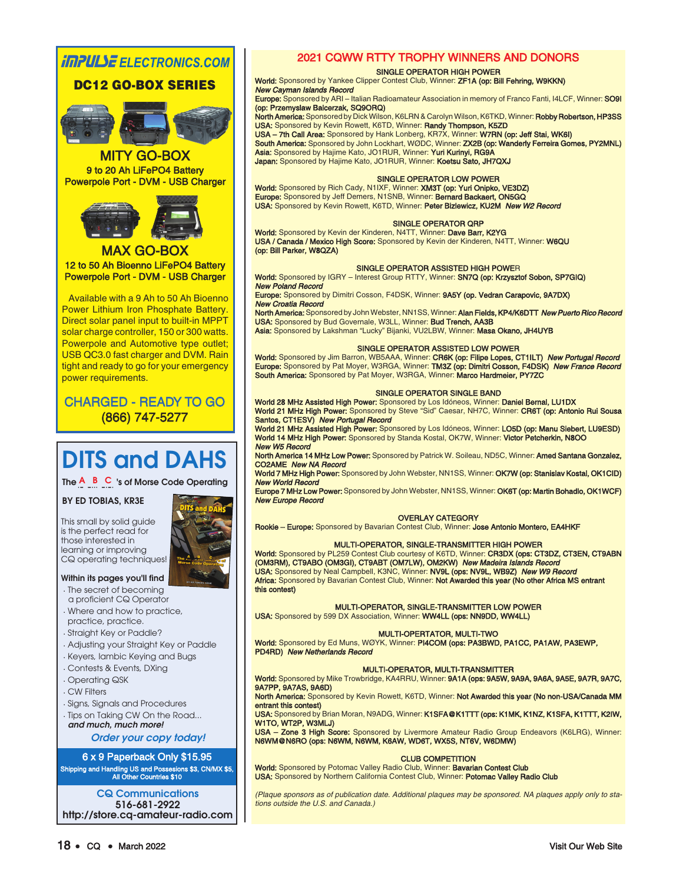# **IMPULSE** ELECTRONICS.COM

# DC12 GO-BOX SERIES



MITY GO-BOX 9 to 20 Ah LiFePO4 Battery Powerpole Port - DVM - USB Charger



MAX GO-BOX 12 to 50 Ah Bioenno LiFePO4 Battery Powerpole Port - DVM - USB Charger

Available with a 9 Ah to 50 Ah Bioenno Power Lithium Iron Phosphate Battery. Direct solar panel input to built-in MPPT solar charge controller, 150 or 300 watts. Powerpole and Automotive type outlet; USB QC3.0 fast charger and DVM. Rain tight and ready to go for your emergency power requirements.

**CHARGED - READY TO GO** (866) 747-5277 (866)

# DITS and DAHS

The  $A$  B C 's of Morse Code Operating

#### BY ED TOBIAS, KR3E

This small by solid guide is the perfect read for those interested in learning or improving CQ operating techniques!

#### Within its pages you'll find

- . The secret of becoming a proficient CQ Operator
- . Where and how to practice, practice, practice.
- . Straight Key or Paddle?
- . Adjusting your Straight Key or Paddle
- . Keyers, Iambic Keying and Bugs
- . Contests & Events, DXing
- . Operating QSK
- . CW Filters
- . Signs, Signals and Procedures
- . Tips on Taking CW On the Road... and much, much more!

Order your copy today!

6 x 9 Paperback Only \$15.95 Shipping and Handling US and Possesions \$3, CN/MX \$5, All Other Countries \$10

CQ Communications 516-681-2922 http://store.cq-amateur-radio.com

# 2021 CQWW RTTY TROPHY WINNERS AND DONORS

#### SINGLE OPERATOR HIGH POWER

World: Sponsored by Yankee Clipper Contest Club, Winner: ZF1A (op: Bill Fehring, W9KKN) New Cayman Islands Record

Europe: Sponsored by ARI – Italian Radioamateur Association in memory of Franco Fanti, I4LCF, Winner: SO9I (op: Przemyslaw Balcerzak, SQ9ORQ)

North America: Sponsored by Dick Wilson, K6LRN & Carolyn Wilson, K6TKD, Winner: Robby Robertson, HP3SS USA: Sponsored by Kevin Rowett, K6TD, Winner: Randy Thompson, K5ZD

USA – 7th Call Area: Sponsored by Hank Lonberg, KR7X, Winner: W7RN (op: Jeff Stai, WK6I) South America: Sponsored by John Lockhart, WØDC, Winner: ZX2B (op: Wanderly Ferreira Gomes, PY2MNL) Asia: Sponsored by Hajime Kato, JO1RUR, Winner: Yuri Kurinyi, RG9A Japan: Sponsored by Hajime Kato, JO1RUR, Winner: Koetsu Sato, JH7QXJ

#### SINGLE OPERATOR LOW POWER

**World:** Sponsored by Rich Cady, N1IXF, Winner: **XM3T (op: Yuri Onipko, VE3DZ)**<br>**Europe:** Sponsored by Jeff Demers, N1SNB, Winner: **Bernard Backaert, ON5GQ** USA: Sponsored by Kevin Rowett, K6TD, Winner: Peter Bizlewicz, KU2M New W2 Record

#### SINGLE OPERATOR QRP

World: Sponsored by Kevin der Kinderen, N4TT, Winner: Dave Barr, K2YG USA / Canada / Mexico High Score: Sponsored by Kevin der Kinderen, N4TT, Winner: W6QU (op: Bill Parker, W8QZA)

#### SINGLE OPERATOR ASSISTED HIGH POWER

World: Sponsored by IGRY – Interest Group RTTY, Winner: SN7Q (op: Krzysztof Sobon, SP7GIQ) New Poland Record

Europe: Sponsored by Dimitri Cosson, F4DSK, Winner: 9A5Y (op. Vedran Carapovic, 9A7DX) New Croatia Record

North America: Sponsored by John Webster, NN1SS, Winner: Alan Fields, KP4/K6DTT New Puerto Rico Record USA: Sponsored by Bud Governale, W3LL, Winner: Bud Trench, AA3B

Asia: Sponsored by Lakshman "Lucky" Bijanki, VU2LBW, Winner: Masa Okano, JH4UYB

#### SINGLE OPERATOR ASSISTED LOW POWER

**World:** Sponsored by Jim Barron, WB5AAA, Winner: **CR6K (op: Filipe Lopes, CT1ILT)** *New Portugal Record*<br>Eur**ope:** Sponsored by Pat Moyer, W3RGA, Winner: **TM3Z (op: Dimitri Cosson, F4DSK)** *New France Record* **South America:** Sponsored by Pat Moyer, W3RGA, Winner: **Marco Hardmeier, PY7ZC** 

#### SINGLE OPERATOR SINGLE BAND

World 28 MHz Assisted High Power: Sponsored by Los Idóneos, Winner: Daniel Bernal, LU1DX World 21 MHz High Power: Sponsored by Steve "Sid" Caesar, NH7C, Winner: CR6T (op: Antonio Rui Sousa Santos, CT1ESV) New Portugal Record

World 21 MHz Assisted High Power: Sponsored by Los Idóneos, Winner: LO5D (op: Manu Siebert, LU9ESD) World 14 MHz High Power: Sponsored by Standa Kostal, OK7W, Winner: Victor Petcherkin, N8OO New W5 Record

North America 14 MHz Low Power: Sponsored by Patrick W. Soileau, ND5C, Winner: Amed Santana Gonzalez, CO2AME New NA Record

World 7 MHz High Power: Sponsored by John Webster, NN1SS, Winner: OK7W (op: Stanislav Kostal, OK1CID) New World Record

Europe 7 MHz Low Power: Sponsored by John Webster, NN1SS, Winner: OK6T (op: Martin Bohadlo, OK1WCF) New Europe Record

#### OVERLAY CATEGORY

Rookie – Europe: Sponsored by Bavarian Contest Club, Winner: Jose Antonio Montero, EA4HKF

#### MULTI-OPERATOR, SINGLE-TRANSMITTER HIGH POWER

World: Sponsored by PL259 Contest Club courtesy of K6TD, Winner: CR3DX (ops: CT3DZ, CT3EN, CT9ABN (OM3RM), CT9ABO (OM3GI), CT9ABT (OM7LW), OM2KW) New Madeira Islands Record **USA:** Sponsored by Neal Campbell, K3NC, Winner: **NV9L (ops: NV9L, WB9Z) New W9 Record** Africa: Sponsored by Bavarian Contest Club, Winner: Not Awarded this year (No other Africa MS entrant this contest)

#### MULTI-OPERATOR, SINGLE-TRANSMITTER LOW POWER

USA: Sponsored by 599 DX Association, Winner: WW4LL (ops: NN9DD, WW4LL)

#### MULTI-OPERTATOR, MULTI-TWO

World: Sponsored by Ed Muns, WØYK, Winner: PI4COM (ops: PA3BWD, PA1CC, PA1AW, PA3EWP, PD4RD) New Netherlands Record

#### MULTI-OPERATOR, MULTI-TRANSMITTER

World: Sponsored by Mike Trowbridge, KA4RRU, Winner: 9A1A (ops: 9A5W, 9A9A, 9A6A, 9A5E, 9A7R, 9A7C, 9A7PP, 9A7AS, 9A6D)

North America: Sponsored by Kevin Rowett, K6TD, Winner: Not Awarded this year (No non-USA/Canada MM entrant this contest)

USA: Sponsored by Brian Moran, N9ADG, Winner: K1SFA@K1TTT (ops: K1MK, K1NZ, K1SFA, K1TTT, K2IW, W1TO, WT2P, W3MLJ)

USA – Zone 3 High Score: Sponsored by Livermore Amateur Radio Group Endeavors (K6LRG), Winner: N6WM@N6RO (ops: N6WM, N6WM, K6AW, WD6T, WX5S, NT6V, W6DMW)

#### CLUB COMPETITION

World: Sponsored by Potomac Valley Radio Club, Winner: Bavarian Contest Club USA: Sponsored by Northern California Contest Club, Winner: Potomac Valley Radio Club

(Plaque sponsors as of publication date. Additional plaques may be sponsored. NA plaques apply only to stations outside the U.S. and Canada.)

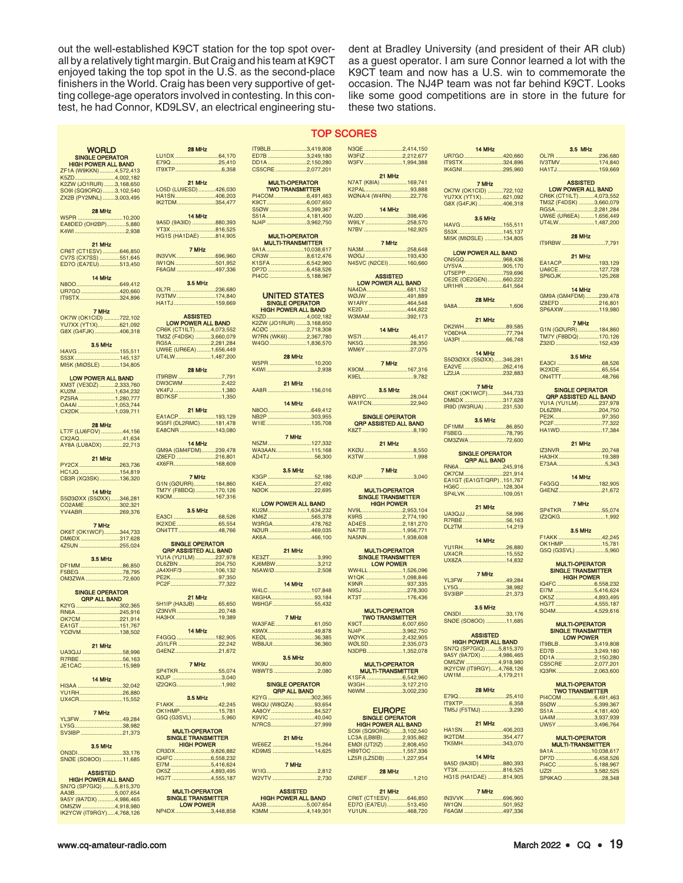out the well-established K9CT station for the top spot overall by a relatively tight margin. But Craig and his team at K9CT enjoyed taking the top spot in the U.S. as the second-place finishers in the World. Craig has been very supportive of getting college-age operators involved in contesting. In this contest, he had Connor, KD9LSV, an electrical engineering student at Bradley University (and president of their AR club) as a guest operator. I am sure Connor learned a lot with the K9CT team and now has a U.S. win to commemorate the occasion. The NJ4P team was not far behind K9CT. Looks like some good competitions are in store in the future for these two stations.

14 MHz

#### TOP SCORES

 $.2.077.201$ 

| <b>WORLD</b>                                          | 28 MHz                                         |
|-------------------------------------------------------|------------------------------------------------|
| <b>SINGLE OPERATOR</b>                                | LU1DX 64,170                                   |
| <b>HIGH POWER ALL BAND</b>                            | E79Q25,410                                     |
| ZF1A (W9KKN)4,572,413<br>K5ZD4,002,182                |                                                |
| K2ZW (JO1RUR) 3,168,650                               | 21 MHz                                         |
| SO9I (SQ9ORQ)3,102,540                                | LO5D (LU9ESD) 426,030                          |
| ZX2B (PY2MNL) 3,003,495                               | HA1SN406,203<br>IK2TDM354,477                  |
| 28 MHz                                                |                                                |
| W5PR 10,200                                           | 14 MHz                                         |
| EA8DED (OH2BP)5,880                                   | 9A5D (9A3ID) 880,393                           |
| K4WI2,938                                             | YT3X816,525<br>HG1S (HA1DAE) 814,905           |
| 21 MHz                                                |                                                |
| CR6T (CT1ESV) 646,850                                 | 7 MHz                                          |
| CV7S (CX7SS) 551,645                                  | IN3VVK696,960                                  |
| ED7O (EA7EU)513,450                                   | IW1QN501,952<br>F6AGM 497,336                  |
| 14 MHz                                                |                                                |
|                                                       | <b>3.5 MHz</b>                                 |
| UR7GO 420,660                                         | OL7R 236,680                                   |
| IT9STX324,896                                         | IV3TMV174,840<br>HA1TJ159,669                  |
| 7 MHz                                                 |                                                |
| OK7W (OK1CID) 722,102                                 | <b>ASSISTED</b>                                |
| YU7XX (YT1X)621,092                                   | LOW POWER ALL BAND                             |
| G8X (G4FJK) 406,318                                   | CR6K (CT1ILT)4,073,552                         |
|                                                       | TM3Z (F4DSK) 3,660,079<br>RG5A 2,281,284       |
| 3.5 MHz<br>I4AVG 155,511                              | UW6E (UR6EA) 1,656,449                         |
| S53X 145,137                                          | UT4LW1,487,200                                 |
| MI5K (MIØSLE) 134,805                                 |                                                |
|                                                       | 28 MHz<br>IT9RBW 7,791                         |
| <b>LOW POWER ALL BAND</b><br>XM3T (VE3DZ) 2,333,760   | DW3CWM2,422                                    |
| KU2M1,634,232                                         | VK4FJ1,380                                     |
| PZ5RA 1,280,777                                       | BD7KSF1,350                                    |
| OA4AI 1,053,744                                       | 21 MHz                                         |
| CX2DK1,039,711                                        | EA1ACP193,129                                  |
| 28 MHz                                                | 9G5FI (DL2RMC)181,478                          |
| LT7F (LU6FOV) 44,156                                  | EA8CNR 143,080                                 |
| CX2AQ41,634                                           | 14 MHz                                         |
| AY8A (LU8ADX) 22,713                                  | GM9A (GM4FDM)239,478                           |
| 21 MHz                                                | IZ8EFD 216,801                                 |
| PY2CX 263,736                                         | 4X6FR168,609                                   |
| HC1JQ 154,819                                         |                                                |
| CB3R (XQ3SK)136,320                                   | 7 MHz<br>G1N (GØURR)184,860                    |
| 14 MHz                                                | TM7Y (F8BDQ)170,126                            |
| S5Ø3ØXX (S5ØXX)346,281                                | K9OM167,316                                    |
| CO2AME302,321                                         | <b>3.5 MHz</b>                                 |
| YV4ABR269,376                                         | EA3CI 68,526                                   |
| 7 MHz                                                 | IK2XDE 65,554                                  |
| OK6T (OK1WCF)344,733                                  | ON4TTT48,766                                   |
| DM6DX 317,628                                         | <b>SINGLE OPERATOR</b>                         |
| 4Z5UN 255,024                                         | <b>ORP ASSISTED ALL BAND</b>                   |
| <b>3.5 MHz</b>                                        | YU1A (YU1LM) 237,978                           |
| DF1MM86,850                                           | DL6ZBN204,750                                  |
| F5BEG 78,795                                          | JA4XHF/3 106,132<br>PE2K97,350                 |
| OM3ZWA72,600                                          | PC2F77,322                                     |
| <b>SINGLE OPERATOR</b>                                |                                                |
| <b>QRP ALL BAND</b>                                   | 21 MHz                                         |
| K2YG 302,365                                          | 5H1IP (HA3JB) 65,650<br>IZ3NVR20,748           |
| RN6A 245,916<br>OK7CM221,914                          | HA3HX19,389                                    |
|                                                       |                                                |
| EA1GT151,767<br>YCØVM138,502                          | 14 MHZ                                         |
|                                                       | F4GGQ 182,905<br>JG1LFR 22,242                 |
| 21 MHz<br>UA3QJJ 58,996                               | G4ENZ21,672                                    |
| R7RBE56,163                                           |                                                |
| JE1CAC15,989                                          | 7 MHz                                          |
|                                                       | SP4TKR55,074<br>KØJP 3,040                     |
| 14 MHz<br>HI3AA 32,042                                | IZ2QKG1,992                                    |
| YU1RH26,880                                           |                                                |
| UX4CR15,552                                           | <b>3.5 MHz</b>                                 |
| 7 MHz                                                 | F1AKK 42,245<br>OK1HMP15,781                   |
| YL3FW49,284                                           | G5Q (G3SVL) 5,960                              |
| LY5G38,982                                            |                                                |
| SV3IBP 21,373                                         | <b>MULTI-OPERATOR</b>                          |
|                                                       | <b>SINGLE TRANSMITTER</b><br><b>HIGH POWER</b> |
| <b>3.5 MHz</b><br>ON3DI33,176                         | CR3DX9,826,882                                 |
| SNØE (SO8OO) 11,685                                   | IQ4FC 6,558,232                                |
|                                                       | EI7M 5,416,624                                 |
| <b>ASSISTED</b>                                       | OK5Z 4,893,495<br>HG7T 4,555,187               |
| <b>HIGH POWER ALL BAND</b><br>SN7Q (SP7GIQ) 5,815,370 |                                                |
| AA3B5,007,654                                         | <b>MULTI-OPERATOR</b>                          |
| 9A5Y (9A7DX) 4,986,465                                | <b>SINGLE TRANSMITTER</b>                      |
| OM5ZW 4,918,980                                       | <b>LOW POWER</b>                               |

#### $.64,170$  $.25,410$ ....6.358 IT9BLB.......................3,419,808<br>ED7B .........................3,249,180 ED7B ............................3,249,180<br>DD1A ...........................2,150,280 DD1A ............................2,150,280<br>CS5CRE .....................2,077.201

A26.030 406.203 IK2TDM.........................354,477 **880.393** 816,525 814,905  $696.960$ MULTI-OPERATOR TWO TRANSMITTER PI4COM .....................6,491,463 K9CT..........................6,007,650 S5ØW ........................5,399,367<br>S51A ..........................4.181.400 S51A ..........................4,181,400  $.3.962.750$ MULTI-OPERATOR MULTI-TRANSMITTER 9A1A ........................10,038,617 CR3W ........................8,612,476

LOW POWER NP4DX.......................3,448,858 K1SFA .............................6,542,960<br>DP7D 6 458 526 DP7D .........................6,458,526 .5,188,967 UNITED STATES SINGLE OPERATOR HIGH POWER ALL BAND

K5ZD..........................4,002,182 K2ZW (JO1RUR)<br>ACØC ................. ACØC ........................2,718,308 W7RN (WK6I).<br>W4GO 1,836,570 28 MHz W5PR .............................10,200 K4WI .................................2,938

21 MHz AA8R ............................156,016 14 MHz N8OO............................649,412 NB2P .................................303,955<br>W1IE .............................135,708 W1IE .............................135,708

7 MHz N5ZM ............................127,332 wa3aan........................115,168<br>AD4TJ...............................56,300 AD4TJ...

3.5 MHz K3GP ..............................52,186 K4EA...............................27,492 22.695

**LOW POWER ALL BAND**<br>KU2M...........................1.634.2 KU2M.........................1,634,232 KM6Z ............................565,378 W3RGA............................478,762<br>NØUR ..................................469,039 NØUR ................................469,035<br>AK6A..............................466.100 A66.100

21 MHz KE3ZT.................................3,990<br>K.I6MBW 3.212 KJ6MBW............................3,212<br>N5AW/Ø............................2,508 **N5AW/Ø** 14 MHz W4LC............................107,848 K6GHA............................93,184 W6HGF

7 MHz WA3FAE .........................61,050 K9WX..<br>KEØI  $.36,385$ <br>.36,360 WB8JU

3.5 MHz WK9U ................................30,800<br>W8WTS ..............................2,080 w<sub>8</sub>wts

#### SINGLE OPERATOR

| <b>ORP ALL BAND</b> |  |  |
|---------------------|--|--|
| K2YG 302,365        |  |  |
| W6QU (W8QZA)93,654  |  |  |
| AA8OY84,527         |  |  |
| K9VIC 40.040        |  |  |
| N7RCS27.999         |  |  |
|                     |  |  |
| 21 MHz              |  |  |
| WE6EZ 15,264        |  |  |
| KD9MS 14.625        |  |  |
|                     |  |  |

| 7 MHz      |  |
|------------|--|
| W1IG2.812  |  |
| W2VTV 2730 |  |

ASSISTED **HIGH POWER ALL BAND**<br>AA3B.............................5.007.6 AA3B..........................5,007,654 A.149,301

| N3QE 2,414,150                                                             |  |
|----------------------------------------------------------------------------|--|
| W3FIZ2,212,677                                                             |  |
|                                                                            |  |
| W3FV1,994,388                                                              |  |
|                                                                            |  |
| 21 MHz                                                                     |  |
|                                                                            |  |
|                                                                            |  |
|                                                                            |  |
|                                                                            |  |
|                                                                            |  |
|                                                                            |  |
| 14 MHz                                                                     |  |
|                                                                            |  |
| WJ2D 398,496                                                               |  |
| W9ILY 258,570                                                              |  |
|                                                                            |  |
| N7BV 162,925                                                               |  |
|                                                                            |  |
| 7 MHz                                                                      |  |
|                                                                            |  |
| NA3M258,648                                                                |  |
|                                                                            |  |
| WØGJ 193,430<br>N4SVC (N2CEI) 160,660                                      |  |
|                                                                            |  |
|                                                                            |  |
| ASSISTED<br>LOW POWER ALL BAND                                             |  |
|                                                                            |  |
|                                                                            |  |
| NA4DA681,152                                                               |  |
| WØJW 491,889                                                               |  |
| W1ARY464,548                                                               |  |
|                                                                            |  |
| KE2D 444,822                                                               |  |
| W3MAM392,173                                                               |  |
|                                                                            |  |
|                                                                            |  |
| 14 MHz                                                                     |  |
| WS7I46,417                                                                 |  |
|                                                                            |  |
| NK5G 28,350                                                                |  |
| WM6Y 27,075                                                                |  |
|                                                                            |  |
|                                                                            |  |
| 7 MHz                                                                      |  |
| K9OM167,316                                                                |  |
|                                                                            |  |
| K9EL9,782                                                                  |  |
|                                                                            |  |
| <b>3.5 MHz</b>                                                             |  |
|                                                                            |  |
| AB9YC28,044                                                                |  |
| WA1FCN22,940                                                               |  |
|                                                                            |  |
|                                                                            |  |
| <b>SINGLE OPERATOR</b>                                                     |  |
| <b>QRP ASSISTED ALL BAND</b>                                               |  |
|                                                                            |  |
|                                                                            |  |
|                                                                            |  |
|                                                                            |  |
|                                                                            |  |
| 21 MHz                                                                     |  |
| KKØU8,550                                                                  |  |
| K3TW1,998                                                                  |  |
|                                                                            |  |
|                                                                            |  |
| 7 MHz                                                                      |  |
| KØJP 3,040                                                                 |  |
|                                                                            |  |
|                                                                            |  |
|                                                                            |  |
| MULTI-OPERATOR<br>SINGLE TRANSMITTER                                       |  |
|                                                                            |  |
| <b>HIGH POWER</b>                                                          |  |
| NV9L2,953,104                                                              |  |
| K9RS 2,774,190                                                             |  |
|                                                                            |  |
| AD4ES 2,181,270                                                            |  |
| NA7TB 1,956,771                                                            |  |
| NA5NN1,938,608                                                             |  |
|                                                                            |  |
|                                                                            |  |
| <b>MULTI-OPERATOR</b>                                                      |  |
| SINGLE TRANSMITTER                                                         |  |
| <b>LOW POWER</b>                                                           |  |
|                                                                            |  |
| WW4LL1,526,096                                                             |  |
| W1QK 1,098,846                                                             |  |
|                                                                            |  |
| K9NR 937,335                                                               |  |
| N9SJ278,300                                                                |  |
| KT3T176,436                                                                |  |
|                                                                            |  |
|                                                                            |  |
| <b>MULTI-OPERATOR</b>                                                      |  |
| <b>TWO TRANSMITTER</b>                                                     |  |
|                                                                            |  |
|                                                                            |  |
| K9CT6,007,650<br>NJ4P 3,962,750                                            |  |
|                                                                            |  |
|                                                                            |  |
| WØYK 2,432,905<br>WØLSD 2,335,073                                          |  |
| N3DPB1,352,078                                                             |  |
|                                                                            |  |
|                                                                            |  |
| <b>MULTI-OPERATOR</b>                                                      |  |
| <b>MULTI-TRANSMITTER</b>                                                   |  |
|                                                                            |  |
| K1SFA 6,542,960                                                            |  |
| W3GH3,127,210                                                              |  |
| N6WM3,002,230                                                              |  |
|                                                                            |  |
|                                                                            |  |
|                                                                            |  |
|                                                                            |  |
|                                                                            |  |
|                                                                            |  |
| EUROPE<br>SINGLE OPERATOR<br>HIGH POWER ALL BAND<br>SO9I (SQ9ORQ)3,102,540 |  |

LC3A (LB8IB)..............2,935,862<br>EMØI (UT2IZ) ............2,808,450

28 MHz IZ4REF .............................1,210 21 MHz CR6T (CT1ESV) ............646,850<br>ED7O (EA7EU) .............513.450 ED7O (EA7EU).<br>YU1UN..............

..1,557,33<mark>6</mark><br>..1.227.954

A68,720

EMØI (UT2IZ)<br>HB9TOC ........

 $LZ5R$  ( $LZ5DB$ )

UR7GO .................................420,660<br>IT9STX .................................324,896 IT9STX..........................324,896 IK4GNI ..........................295,960 7 MHz OK7W (OK1CID) ..........722,102<br>YU7XX (YT1X)..............621,092 YU7XX (YT1X)..............621,092 G8X (G4FJK) ................406,318

3.5 MHz I4AVG ...........................155,511 S53X .............................145,137 MI5K (MIØSLE) ............134,805

| <b>LOW POWER ALL BAND</b> |  |
|---------------------------|--|
| ON5GQ968.436              |  |
| UY5VA905.170              |  |
| UT5EPP759.696             |  |
| OE2E (OE2GEN)660,222      |  |
| UR1HR 641.564             |  |
|                           |  |

28 MHz 9A8A .................................1,606 21 MHz

DK2WH...........................89,585 YO8DHA .........................77,794 ..66.748

14 MHz S5Ø3ØXX (S5ØXX)......346,281

EA2VE ..........................262,416 LZ2JA ...........................232,883 7 MHz OK6T (OK1WCF)..........344,733<br>DM6DX...........................317,628 DM6DX .........................317,628 IR9D (IW3RUA) ............231,530

3.5 MHz DF1MM ...........................86,850 F5BEG ............................78,795 OM3ZWA ........................72,600

SINGLE OPERATOR QRP ALL BAND RN6A ............................245,916 OK7CM . EA1GT (EA1GT/QRP) ..151,767<br>HG6C .............................128.304 HG6C...................................128,304<br>SP4LVK 109.051  $.109,051$ 

21 MHz UA3QJJ ..........................58,996 88,888<br>R56,163.<br>R5,14,219. BRISSON<br>DL2TM

14 MHz YU1RH............................26,880 UX4CR................................15,552<br>UX8ZA.............................14.832 .14.832

7 MHz YL3FW............................49,284 LY5G...............................38,982

SV3IBP

3.5 MHz ON3DI.............................33,176 SNØE (SO8OO) .............11,685

ASSISTED **HIGH POWER ALL BAND**<br>70 (SP7GIO) 5815.370 SN7Q (SP7GIQ) ........5,815,370<br>9A5Y (9A7DX) 4 986 465 9A5Y (9A7DX) ..........4,986,465<br>OM5ZW ......................4,918,980 OM5ZW .....................4,918,980 IK2YCW (IT9RGY).....4,768,126 UW1M........................4,179,211

28 MHz E79Q...............................25,410

IT9XTP..............................6,358 TM5J (F5TMJ) ..................3,290

21 MHz HA1SN..........................406,203 IK2TDM... TK5MH..........................343,070

14 MHz 9A5D (9A3ID) ...............880,393 YT3X.............................816,525 HG1S (HA1DAE)

#### 7 MHz

IN3VVK .........................696,960 IW1QN .................................501,952<br>F6AGM ..........................497.336 F6AGM .........................497,336

| 3.5 MHz       |
|---------------|
| OL7R 236.680  |
| IV3TMV174.840 |
|               |

ASSISTED LOW POWER ALL BAND CR6K (CT1ILT)..........4,073,552 TM3Z (F4DSK) ..........3,660,079 RG5A .........................2,281,284 UW6E (UR6EA)<br>UT4LW.............. UT4LW.......................1,487,200

28 MHz IT9RBW ............................7,791

21 MHz EA1ACP........................193,129 .<br>.127,728<br>.125,268 SP<sub>6OJK</sub>

14 MHz GM9A (GM4FDM).........239,478<br>IZ8EFD .................................216,801 216,801.<br>119,980. SP6AXW

7 MHz G1N (GØURR).......................184,860<br>TM7Y (F8BDQ)...............170.126 TM7Y (F8BDQ).<br>732ID Z32ID ............................152,439

3.5 MHz EA3CI .............................68,526 IK2XDE ...........................65,554 ON4TTT

SINGLE OPERATOR QRP ASSISTED ALL BAND YU1A (YU1LM) .............237,978

DL6ZBN ........................204,750 97,350.<br>موجد 77 PC2F...............................77,322 HA1WD...........................17,384 21 MHz

IZ3NVR ...........................20,748 HA3HX............................19,389 E73AA...............................5,343

14 MHz F4GGQ .........................182,905 G4ENZ............................21,672

7 MHz SP4TKR................................55,074<br>IZ2QKG..................................1.992  $IZ2OKG$ 

3.5 MHz F1AKK ............................42,245 OK1HMP.........................15,781 G5Q (G3SVL) ...................5,960

MULTI-OPERATOR SINGLE TRANSMITTER HIGH POWER IQ4FC ........................6,558,232 EI7M ...............................5,416,624<br>OK5Z ..........................4,893,495

| OK5Z 4.893.495 |  |
|----------------|--|
| HG7T 4.555.187 |  |
| SO4M4.529.616  |  |
|                |  |

MULTI-OPERATOR SINGLE TRANSMITTER LOW POWER

| IT9BLB3.419.808  |  |
|------------------|--|
| ED7B 3.249.180   |  |
| DD1A 2.150.280   |  |
| CS5CRE 2.077.201 |  |
| IQ3RK2.063.600   |  |

| <b>MULTI-OPERATOR</b>  |  |
|------------------------|--|
| <b>TWO TRANSMITTER</b> |  |
|                        |  |

| PI4COM 6.491.463 |  |
|------------------|--|
| S50W 5.399.367   |  |
| S51A 4.181.400   |  |
| UA4M3.937.939    |  |
| UW5Y 3.496.764   |  |
|                  |  |

|  | <b>MULTI-OPERATOR</b>    |
|--|--------------------------|
|  | <b>MULTI-TRANSMITTER</b> |

| 9A1A10.038.617  |  |
|-----------------|--|
|                 |  |
| PI4CC 5.188.967 |  |
| UZ213.582.525   |  |
| SP9KAO 28.348   |  |

OM5ZW .....................4,918,980 IK2YCW (IT9RGY).....4,768,126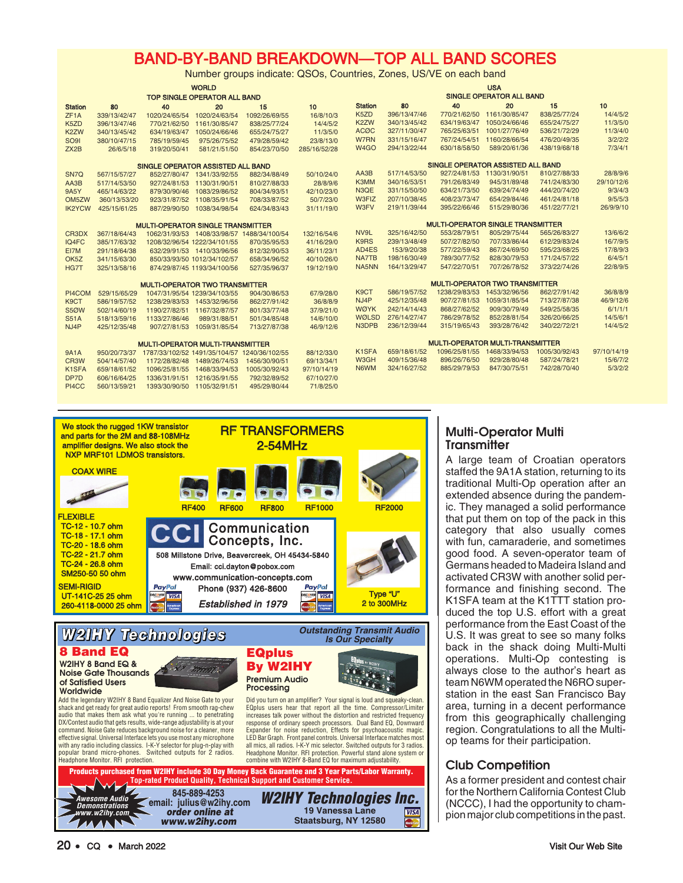# BAND-BY-BAND BREAKDOWN—TOP ALL BAND SCORES

Number groups indicate: QSOs, Countries, Zones, US/VE on each band

| <b>WORLD</b>                             |                                     |                                              |                              | <b>USA</b>                                 |                                   |                                 |              |                                         |                             |               |             |
|------------------------------------------|-------------------------------------|----------------------------------------------|------------------------------|--------------------------------------------|-----------------------------------|---------------------------------|--------------|-----------------------------------------|-----------------------------|---------------|-------------|
|                                          | <b>TOP SINGLE OPERATOR ALL BAND</b> |                                              |                              |                                            |                                   | <b>SINGLE OPERATOR ALL BAND</b> |              |                                         |                             |               |             |
| <b>Station</b>                           | 80                                  | 40                                           | 20                           | 15                                         | 10                                | <b>Station</b>                  | 80           | 40                                      | 20                          | 15            | 10          |
| ZF <sub>1</sub> A                        | 339/13/42/47                        | 1020/24/65/54                                | 1020/24/63/54                | 1092/26/69/55                              | 16/8/10/3                         | K <sub>5</sub> ZD               | 396/13/47/46 | 770/21/62/50                            | 1161/30/85/47               | 838/25/77/24  | 14/4/5/2    |
| K <sub>5</sub> ZD                        | 396/13/47/46                        | 770/21/62/50                                 | 1161/30/85/47                | 838/25/77/24                               | 14/4/5/2                          | K <sub>2</sub> ZW               | 340/13/45/42 | 634/19/63/47                            | 1050/24/66/46               | 655/24/75/27  | 11/3/5/0    |
| K <sub>2</sub> ZW                        | 340/13/45/42                        | 634/19/63/47                                 | 1050/24/66/46                | 655/24/75/27                               | 11/3/5/0                          | <b>ACØC</b>                     | 327/11/30/47 | 765/25/63/51                            | 1001/27/76/49               | 536/21/72/29  | 11/3/4/0    |
| SO <sub>91</sub>                         | 380/10/47/15                        | 785/19/59/45                                 | 975/26/75/52                 | 479/28/59/42                               | 23/8/13/0                         | W7RN                            | 331/15/16/47 | 767/24/54/51                            | 1160/28/66/54               | 476/20/49/35  | 3/2/2/2     |
| ZX2B                                     | 26/6/5/18                           | 319/20/50/41                                 | 581/21/51/50                 | 854/23/70/50                               | 285/16/52/28                      | W <sub>4</sub> GO               | 294/13/22/44 | 630/18/58/50                            | 589/20/61/36                | 438/19/68/18  | 7/3/4/1     |
| SINGLE OPERATOR ASSISTED ALL BAND        |                                     |                                              |                              |                                            | SINGLE OPERATOR ASSISTED ALL BAND |                                 |              |                                         |                             |               |             |
| SN <sub>7Q</sub>                         | 567/15/57/27                        |                                              | 852/27/80/47 1341/33/92/55   | 882/34/88/49                               | 50/10/24/0                        | AA3B                            | 517/14/53/50 |                                         | 927/24/81/53 1130/31/90/51  | 810/27/88/33  | 28/8/9/6    |
| AA3B                                     | 517/14/53/50                        |                                              | 927/24/81/53 1130/31/90/51   | 810/27/88/33                               | 28/8/9/6                          | K3MM                            | 340/16/53/51 | 791/26/83/49                            | 945/31/89/48                | 741/24/83/30  | 29/10/12/6  |
| 9A5Y                                     | 465/14/63/22                        |                                              | 879/30/90/46 1083/29/86/52   | 804/34/93/51                               | 42/10/23/0                        | N3QE                            | 331/15/50/50 | 634/21/73/50                            | 639/24/74/49                | 444/20/74/20  | 9/3/4/3     |
| OM <sub>5</sub> ZW                       | 360/13/53/20                        |                                              | 923/31/87/52 1108/35/91/54   | 708/33/87/52                               | 50/7/23/0                         | W3FIZ                           | 207/10/38/45 | 408/23/73/47                            | 654/29/84/46                | 461/24/81/18  | 9/5/5/3     |
| <b>IK2YCW</b>                            | 425/15/61/25                        | 887/29/90/50                                 | 1038/34/98/54                | 624/34/83/43                               | 31/11/19/0                        | W3FV                            | 219/11/39/44 | 395/22/66/46                            | 515/29/80/36                | 451/22/77/21  | 26/9/9/10   |
| <b>MULTI-OPERATOR SINGLE TRANSMITTER</b> |                                     |                                              |                              | <b>MULTI-OPERATOR SINGLE TRANSMITTER</b>   |                                   |                                 |              |                                         |                             |               |             |
| CR3DX                                    | 367/18/64/43                        |                                              |                              | 1062/31/93/53 1408/33/98/57 1488/34/100/54 | 132/16/54/6                       | NV9L                            | 325/16/42/50 | 553/28/79/51                            | 805/29/75/44                | 565/26/83/27  | 13/6/6/2    |
| IQ4FC                                    | 385/17/63/32                        |                                              | 1208/32/96/54 1222/34/101/55 | 870/35/95/53                               | 41/16/29/0                        | K9RS                            | 239/13/48/49 | 507/27/82/50                            | 707/33/86/44                | 612/29/83/24  | 16/7/9/5    |
| EI7M                                     | 291/18/64/38                        |                                              | 632/29/91/53 1410/33/96/56   | 812/32/90/53                               | 36/11/23/1                        | AD4ES                           | 153/9/20/38  | 577/22/59/43                            | 867/24/69/50                | 595/23/68/25  | 17/8/9/3    |
| OK <sub>5</sub> Z                        | 341/15/63/30                        |                                              | 850/33/93/50 1012/34/102/57  | 658/34/96/52                               | 40/10/26/0                        | NA7TB                           | 198/16/30/49 | 789/30/77/52                            | 828/30/79/53                | 171/24/57/22  | 6/4/5/1     |
| HG7T                                     | 325/13/58/16                        |                                              | 874/29/87/45 1193/34/100/56  | 527/35/96/37                               | 19/12/19/0                        | NA5NN                           | 164/13/29/47 | 547/22/70/51                            | 707/26/78/52                | 373/22/74/26  | 22/8/9/5    |
| <b>MULTI-OPERATOR TWO TRANSMITTER</b>    |                                     |                                              |                              | <b>MULTI-OPERATOR TWO TRANSMITTER</b>      |                                   |                                 |              |                                         |                             |               |             |
| PI4COM                                   | 529/15/65/29                        |                                              | 1047/31/95/54 1239/34/103/55 | 904/30/86/53                               | 67/9/28/0                         | K <sub>9</sub> CT               | 586/19/57/52 |                                         | 1238/29/83/53 1453/32/96/56 | 862/27/91/42  | 36/8/8/9    |
| K <sub>9</sub> CT                        | 586/19/57/52                        |                                              | 1238/29/83/53 1453/32/96/56  | 862/27/91/42                               | 36/8/8/9                          | NJ4P                            | 425/12/35/48 | 907/27/81/53                            | 1059/31/85/54               | 713/27/87/38  | 46/9/12/6   |
| <b>S50W</b>                              | 502/14/60/19                        |                                              | 1190/27/82/51 1167/32/87/57  | 801/33/77/48                               | 37/9/21/0                         | <b>WØYK</b>                     | 242/14/14/43 | 868/27/62/52                            | 909/30/79/49                | 549/25/58/35  | 6/1/1/1     |
| <b>S51A</b>                              | 518/13/59/16                        | 1133/27/86/46                                | 989/31/88/51                 | 501/34/85/48                               | 14/6/10/0                         | WØLSD                           | 276/14/27/47 | 786/29/78/52                            | 852/28/81/54                | 326/20/66/25  | 14/5/6/1    |
| NJ4P                                     | 425/12/35/48                        | 907/27/81/53                                 | 1059/31/85/54                | 713/27/87/38                               | 46/9/12/6                         | N3DPB                           | 236/12/39/44 | 315/19/65/43                            | 393/28/76/42                | 340/22/72/21  | 14/4/5/2    |
|                                          |                                     | <b>MULTI-OPERATOR MULTI-TRANSMITTER</b>      |                              |                                            |                                   |                                 |              | <b>MULTI-OPERATOR MULTI-TRANSMITTER</b> |                             |               |             |
| <b>9A1A</b>                              | 950/20/73/37                        | 1787/33/102/52 1491/35/104/57 1240/36/102/55 |                              |                                            | 88/12/33/0                        | K <sub>1</sub> SFA              | 659/18/61/52 |                                         | 1096/25/81/55 1468/33/94/53 | 1005/30/92/43 | 97/10/14/19 |
| CR <sub>3</sub> W                        | 504/14/57/40                        |                                              | 1172/28/82/48 1489/26/74/53  | 1456/30/90/51                              | 69/13/34/1                        | W3GH                            | 409/15/36/48 | 896/26/76/50                            | 929/28/80/48                | 587/24/78/21  | 15/6/7/2    |
| K1SFA                                    | 659/18/61/52                        | 1096/25/81/55                                | 1468/33/94/53                | 1005/30/92/43                              | 97/10/14/19                       | N6WM                            | 324/16/27/52 | 885/29/79/53                            | 847/30/75/51                | 742/28/70/40  | 5/3/2/2     |
| DP7D                                     | 606/16/64/25                        | 1336/31/91/51                                | 1216/35/91/55                | 792/32/89/52                               | 67/10/27/0                        |                                 |              |                                         |                             |               |             |
| PI4CC                                    | 560/13/59/21                        |                                              | 1393/30/90/50 1105/32/91/51  | 495/29/80/44                               | 71/8/25/0                         |                                 |              |                                         |                             |               |             |



*<u>order online at</u>* www.w2ihy.com *W2IHY Technologies Inc.* 19 Vanessa Lane **WISA Staatsburg, NY 12580 Staatsburg, NY 12580** 

# Multi-Operator Multi **Transmitter**

A large team of Croatian operators staffed the 9A1A station, returning to its traditional Multi-Op operation after an extended absence during the pandemic. They managed a solid performance that put them on top of the pack in this category that also usually comes with fun, camaraderie, and sometimes good food. A seven-operator team of Germans headed to Madeira Island and activated CR3W with another solid performance and finishing second. The K1SFA team at the K1TTT station produced the top U.S. effort with a great performance from the East Coast of the U.S. It was great to see so many folks back in the shack doing Multi-Multi operations. Multi-Op contesting is always close to the author's heart as team N6WM operated the N6RO superstation in the east San Francisco Bay area, turning in a decent performance from this geographically challenging region. Congratulations to all the Multiop teams for their participation.

# Club Competition

As a former president and contest chair for the Northern California Contest Club (NCCC), I had the opportunity to champion major club competitions in the past.

**Demonstrations www.w2ihy.com**